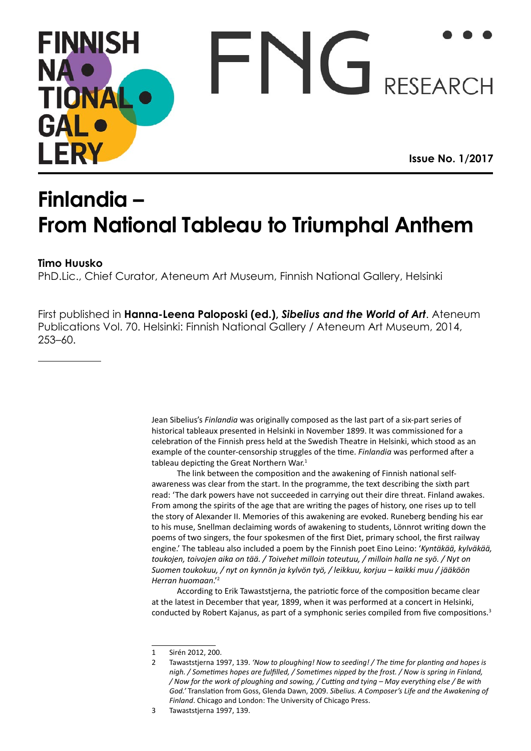# **FINNISH NA RESEARCH TIONA** GAI **Issue No. 1/2017**

# **Finlandia – From National Tableau to Triumphal Anthem Issue No. 1/2017Finlandia –**

# *Konstindustri* **1875–1876 Timo Huusko**

PhD.Lic., Chief Curator, Ateneum Art Museum, Finnish National Gallery, Helsinki

First published in Renja Suominen-Kokkonen (ed.), *The Challenges of Biographical*  First published in **Hanna-Leena Paloposki (ed.),** *Sibelius and the World of Art*. Ateneum *Research in Art History Today*. Taidehistoriallisia tutkimuksia (Studies in Art History) 46. Publications Vol. 70. Helsinki: Finnish National Gallery / Ateneum Art Museum, 2014,  $\text{253--60.}$ 253–60.

> Jean Sibelius's *Finlandia* was originally composed as the last part of a six-part series of example of the counter-censorship struggles of the time. *Finlandia* was performed after a tableau depicting the Great Northern War.<sup>1</sup> historical tableaux presented in Helsinki in November 1899. It was commissioned for a celebration of the Finnish press held at the Swedish Theatre in Helsinki, which stood as an

The link between the composition and the awakening of Finnish national selfawareness was clear from the start. In the programme, the text describing the sixth part read: 'The dark powers have not succeeded in carrying out their dire threat. Finland awakes. From among the spirits of the age that are writing the pages of history, one rises up to tell the story of Alexander II. Memories of this awakening are evoked. Runeberg bending his ear to his muse, Snellman declaiming words of awakening to students, Lönnrot writing down the poems of two singers, the four spokesmen of the first Diet, primary school, the first railway engine.' The tableau also included a poem by the Finnish poet Eino Leino: '*Kyntäkää, kylväkää,* toukojen, toivojen aika on tää. / Toivehet milloin toteutuu, / milloin halla ne syö. / Nyt on *Suomen toukokuu, / nyt on kynnön ja kylvön työ, / leikkuu, korjuu – kaikki muu / jääköön Herran huomaan*.'<sup>2</sup>

According to Erik Tawaststjerna, the patriotic force of the composition became clear<br>at the latest in Desember that year, 1900, when it was nerformed at a sensert in Uskinki conducted by Robert Kajanus, as part of a symphonic series compiled from five compositions.<sup>3</sup> at the latest in December that year, 1899, when it was performed at a concert in Helsinki,

<sup>1</sup> Sirén 2012, 200.

<sup>2</sup> Tawaststjerna 1997, 139. *'Now to ploughing! Now to seeding! / The time for planting and hopes is* high. / Sometimes hopes are fulfilled, / Sometimes nipped by the frost. / Now is spring in Finland, nigh. / Sometimes hopes are fulfilled, / Sometimes nipped by the frost. / Now is spring in Finland,<br>/ Now for the work of ploughing and sowing, / Cutting and tying – May everything else / Be with *God.'* Translation from Goss, Glenda Dawn, 2009. *Sibelius. A Composer's Life and the Awakening of Finland*. Chicago and London: The University of Chicago Press.

<sup>1</sup> *Tidskrift för bildande konst och konstindustri 1875.* Stockholm: C. E. Fritze's Bokhandel, VIII. 3 Tawaststjerna 1997, 139.2 Pettersson, Susanna, 2008, *Suomen Taideyhdistyksestä Ateneumiin. Fredrik Cygnaeus, Carl Gustaf Estlander*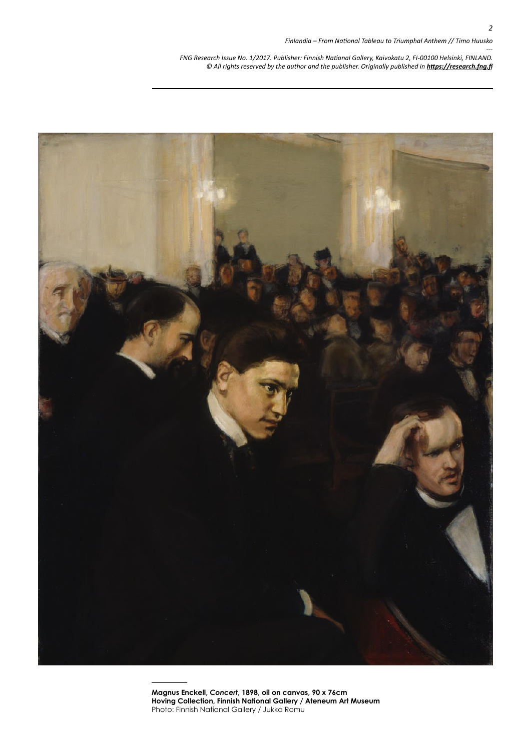

**Magnus Enckell,** *Concert***, 1898, oil on canvas, 90 x 76cm Hoving Collection, Finnish National Gallery / Ateneum Art Museum** Photo: Finnish National Gallery / Jukka Romu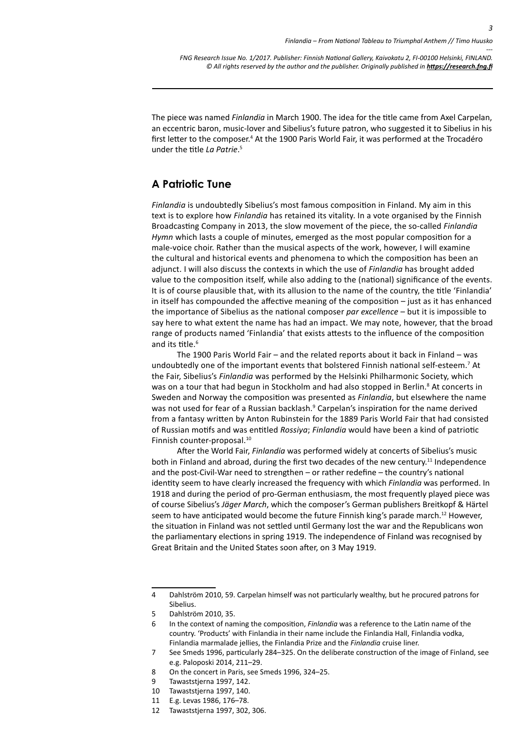The piece was named *Finlandia* in March 1900. The idea for the title came from Axel Carpelan, an eccentric baron, music-lover and Sibelius's future patron, who suggested it to Sibelius in his first letter to the composer.<sup>4</sup> At the 1900 Paris World Fair, it was performed at the Trocadéro under the title *La Patrie*. 5

## **A Patriotic Tune**

*Finlandia* is undoubtedly Sibelius's most famous composition in Finland. My aim in this text is to explore how *Finlandia* has retained its vitality. In a vote organised by the Finnish Broadcasting Company in 2013, the slow movement of the piece, the so-called *Finlandia Hymn* which lasts a couple of minutes, emerged as the most popular composition for a male-voice choir. Rather than the musical aspects of the work, however, I will examine the cultural and historical events and phenomena to which the composition has been an adjunct. I will also discuss the contexts in which the use of *Finlandia* has brought added value to the composition itself, while also adding to the (national) significance of the events. It is of course plausible that, with its allusion to the name of the country, the title 'Finlandia' in itself has compounded the affective meaning of the composition – just as it has enhanced the importance of Sibelius as the national composer *par excellence* – but it is impossible to say here to what extent the name has had an impact. We may note, however, that the broad range of products named 'Finlandia' that exists attests to the influence of the composition and its title.<sup>6</sup>

The 1900 Paris World Fair – and the related reports about it back in Finland – was undoubtedly one of the important events that bolstered Finnish national self-esteem.<sup>7</sup> At the Fair, Sibelius's *Finlandia* was performed by the Helsinki Philharmonic Society, which was on a tour that had begun in Stockholm and had also stopped in Berlin.<sup>8</sup> At concerts in Sweden and Norway the composition was presented as *Finlandia*, but elsewhere the name was not used for fear of a Russian backlash.<sup>9</sup> Carpelan's inspiration for the name derived from a fantasy written by Anton Rubinstein for the 1889 Paris World Fair that had consisted of Russian motifs and was entitled *Rossiya*; *Finlandia* would have been a kind of patriotic Finnish counter-proposal.<sup>10</sup>

After the World Fair, *Finlandia* was performed widely at concerts of Sibelius's music both in Finland and abroad, during the first two decades of the new century.<sup>11</sup> Independence and the post-Civil-War need to strengthen – or rather redefine – the country's national identity seem to have clearly increased the frequency with which *Finlandia* was performed. In 1918 and during the period of pro-German enthusiasm, the most frequently played piece was of course Sibelius's *Jäger March*, which the composer's German publishers Breitkopf & Härtel seem to have anticipated would become the future Finnish king's parade march.<sup>12</sup> However, the situation in Finland was not settled until Germany lost the war and the Republicans won the parliamentary elections in spring 1919. The independence of Finland was recognised by Great Britain and the United States soon after, on 3 May 1919.

<sup>4</sup> Dahlström 2010, 59. Carpelan himself was not particularly wealthy, but he procured patrons for Sibelius.

<sup>5</sup> Dahlström 2010, 35.

<sup>6</sup> In the context of naming the composition, *Finlandia* was a reference to the Latin name of the country. 'Products' with Finlandia in their name include the Finlandia Hall, Finlandia vodka, Finlandia marmalade jellies, the Finlandia Prize and the *Finlandia* cruise liner.

<sup>7</sup> See Smeds 1996, particularly 284–325. On the deliberate construction of the image of Finland, see e.g. Paloposki 2014, 211–29.

<sup>8</sup> On the concert in Paris, see Smeds 1996, 324–25.

<sup>9</sup> Tawaststjerna 1997, 142.

<sup>10</sup> Tawaststjerna 1997, 140.

<sup>11</sup> E.g. Levas 1986, 176–78.

<sup>12</sup> Tawaststjerna 1997, 302, 306.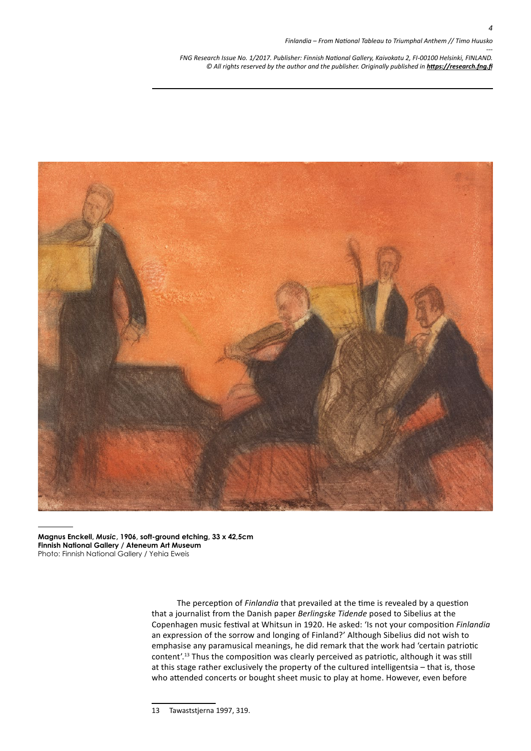

**Magnus Enckell,** *Music***, 1906, soft-ground etching, 33 x 42,5cm Finnish National Gallery / Ateneum Art Museum** Photo: Finnish National Gallery / Yehia Eweis

> The perception of *Finlandia* that prevailed at the time is revealed by a question that a journalist from the Danish paper *Berlingske Tidende* posed to Sibelius at the Copenhagen music festival at Whitsun in 1920. He asked: 'Is not your composition *Finlandia* an expression of the sorrow and longing of Finland?' Although Sibelius did not wish to emphasise any paramusical meanings, he did remark that the work had 'certain patriotic content'.13 Thus the composition was clearly perceived as patriotic, although it was still at this stage rather exclusively the property of the cultured intelligentsia – that is, those who attended concerts or bought sheet music to play at home. However, even before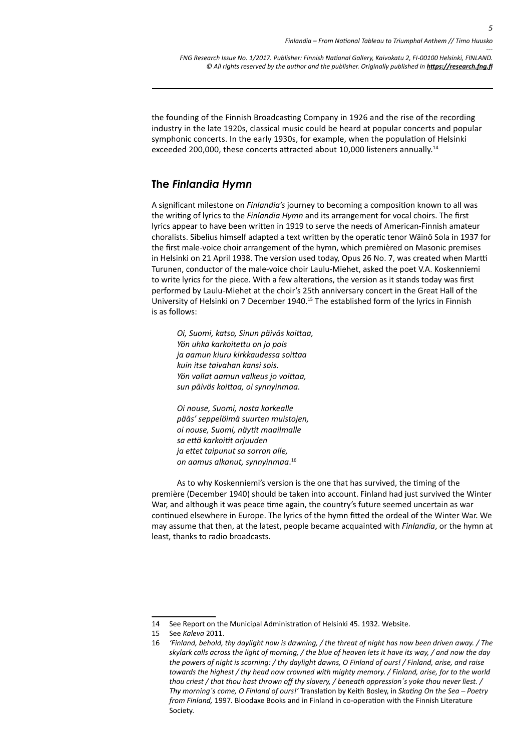the founding of the Finnish Broadcasting Company in 1926 and the rise of the recording industry in the late 1920s, classical music could be heard at popular concerts and popular symphonic concerts. In the early 1930s, for example, when the population of Helsinki exceeded 200,000, these concerts attracted about 10,000 listeners annually.<sup>14</sup>

### **The** *Finlandia Hymn*

A significant milestone on *Finlandia's* journey to becoming a composition known to all was the writing of lyrics to the *Finlandia Hymn* and its arrangement for vocal choirs. The first lyrics appear to have been written in 1919 to serve the needs of American-Finnish amateur choralists. Sibelius himself adapted a text written by the operatic tenor Wäinö Sola in 1937 for the first male-voice choir arrangement of the hymn, which premièred on Masonic premises in Helsinki on 21 April 1938. The version used today, Opus 26 No. 7, was created when Martti Turunen, conductor of the male-voice choir Laulu-Miehet, asked the poet V.A. Koskenniemi to write lyrics for the piece. With a few alterations, the version as it stands today was first performed by Laulu-Miehet at the choir's 25th anniversary concert in the Great Hall of the University of Helsinki on 7 December 1940.<sup>15</sup> The established form of the lyrics in Finnish is as follows:

*Oi, Suomi, katso, Sinun päiväs koittaa, Yön uhka karkoitettu on jo pois ja aamun kiuru kirkkaudessa soittaa kuin itse taivahan kansi sois. Yön vallat aamun valkeus jo voittaa, sun päiväs koittaa, oi synnyinmaa.*

*Oi nouse, Suomi, nosta korkealle pääs' seppelöimä suurten muistojen, oi nouse, Suomi, näytit maailmalle sa että karkoitit orjuuden ja ettet taipunut sa sorron alle, on aamus alkanut, synnyinmaa*. 16

As to why Koskenniemi's version is the one that has survived, the timing of the première (December 1940) should be taken into account. Finland had just survived the Winter War, and although it was peace time again, the country's future seemed uncertain as war continued elsewhere in Europe. The lyrics of the hymn fitted the ordeal of the Winter War. We may assume that then, at the latest, people became acquainted with *Finlandia*, or the hymn at least, thanks to radio broadcasts.

<sup>14</sup> See Report on the Municipal Administration of Helsinki 45. 1932. Website.

<sup>15</sup> See *Kaleva* 2011.

<sup>16</sup> *'Finland, behold, thy daylight now is dawning, / the threat of night has now been driven away. / The skylark calls across the light of morning, / the blue of heaven lets it have its way, / and now the day the powers of night is scorning: / thy daylight dawns, O Finland of ours! / Finland, arise, and raise towards the highest / thy head now crowned with mighty memory. / Finland, arise, for to the world thou criest / that thou hast thrown off thy slavery, / beneath oppression´s yoke thou never liest. / Thy morning´s come, O Finland of ours!'* Translation by Keith Bosley, in *Skating On the Sea – Poetry from Finland,* 1997*.* Bloodaxe Books and in Finland in co-operation with the Finnish Literature Society.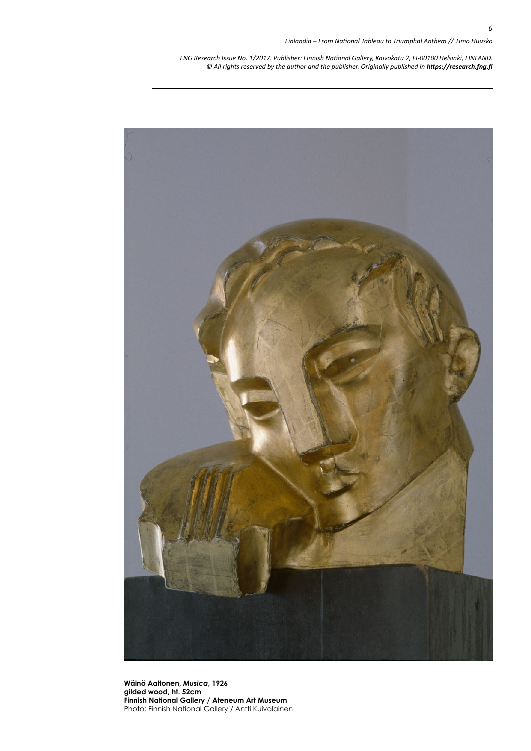

**Wäinö Aaltonen,** *Musica***, 1926 gilded wood, ht. 52cm Finnish National Gallery / Ateneum Art Museum** Photo: Finnish National Gallery / Antti Kuivalainen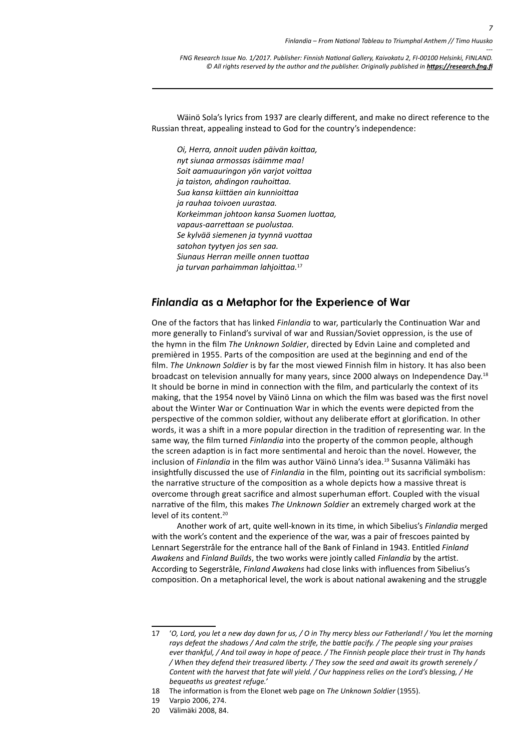Wäinö Sola's lyrics from 1937 are clearly different, and make no direct reference to the Russian threat, appealing instead to God for the country's independence:

*Oi, Herra, annoit uuden päivän koittaa, nyt siunaa armossas isäimme maa! Soit aamuauringon yön varjot voittaa ja taiston, ahdingon rauhoittaa. Sua kansa kiittäen ain kunnioittaa ja rauhaa toivoen uurastaa. Korkeimman johtoon kansa Suomen luottaa, vapaus-aarrettaan se puolustaa. Se kylvää siemenen ja tyynnä vuottaa satohon tyytyen jos sen saa. Siunaus Herran meille onnen tuottaa ja turvan parhaimman lahjoittaa.*<sup>17</sup>

#### *Finlandia* **as a Metaphor for the Experience of War**

One of the factors that has linked *Finlandia* to war, particularly the Continuation War and more generally to Finland's survival of war and Russian/Soviet oppression, is the use of the hymn in the film *The Unknown Soldier*, directed by Edvin Laine and completed and premièred in 1955. Parts of the composition are used at the beginning and end of the film. *The Unknown Soldier* is by far the most viewed Finnish film in history. It has also been broadcast on television annually for many years, since 2000 always on Independence Day.<sup>18</sup> It should be borne in mind in connection with the film, and particularly the context of its making, that the 1954 novel by Väinö Linna on which the film was based was the first novel about the Winter War or Continuation War in which the events were depicted from the perspective of the common soldier, without any deliberate effort at glorification. In other words, it was a shift in a more popular direction in the tradition of representing war. In the same way, the film turned *Finlandia* into the property of the common people, although the screen adaption is in fact more sentimental and heroic than the novel. However, the inclusion of *Finlandia* in the film was author Väinö Linna's idea.<sup>19</sup> Susanna Välimäki has insightfully discussed the use of *Finlandia* in the film, pointing out its sacrificial symbolism: the narrative structure of the composition as a whole depicts how a massive threat is overcome through great sacrifice and almost superhuman effort. Coupled with the visual narrative of the film, this makes *The Unknown Soldier* an extremely charged work at the level of its content.<sup>20</sup>

Another work of art, quite well-known in its time, in which Sibelius's *Finlandia* merged with the work's content and the experience of the war, was a pair of frescoes painted by Lennart Segerstråle for the entrance hall of the Bank of Finland in 1943. Entitled *Finland Awakens* and *Finland Builds*, the two works were jointly called *Finlandia* by the artist. According to Segerstråle, *Finland Awakens* had close links with influences from Sibelius's composition. On a metaphorical level, the work is about national awakening and the struggle

<sup>17</sup> '*O, Lord, you let a new day dawn for us, / O in Thy mercy bless our Fatherland! / You let the morning rays defeat the shadows / And calm the strife, the battle pacify. / The people sing your praises ever thankful, / And toil away in hope of peace. / The Finnish people place their trust in Thy hands / When they defend their treasured liberty. / They sow the seed and await its growth serenely / Content with the harvest that fate will yield. / Our happiness relies on the Lord's blessing, / He bequeaths us greatest refuge.'*

<sup>18</sup> The information is from the Elonet web page on *The Unknown Soldier* (1955).

<sup>19</sup> Varpio 2006, 274.

<sup>20</sup> Välimäki 2008, 84.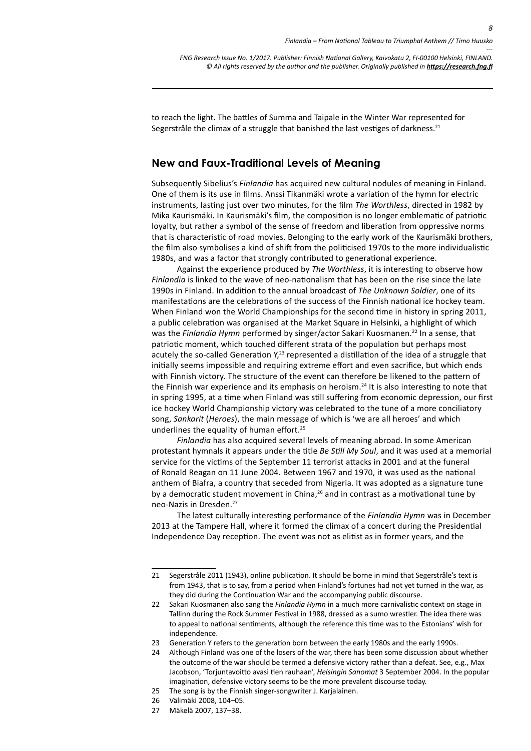to reach the light. The battles of Summa and Taipale in the Winter War represented for Segerstråle the climax of a struggle that banished the last vestiges of darkness.<sup>21</sup>

#### **New and Faux-Traditional Levels of Meaning**

Subsequently Sibelius's *Finlandia* has acquired new cultural nodules of meaning in Finland. One of them is its use in films. Anssi Tikanmäki wrote a variation of the hymn for electric instruments, lasting just over two minutes, for the film *The Worthless*, directed in 1982 by Mika Kaurismäki. In Kaurismäki's film, the composition is no longer emblematic of patriotic loyalty, but rather a symbol of the sense of freedom and liberation from oppressive norms that is characteristic of road movies. Belonging to the early work of the Kaurismäki brothers, the film also symbolises a kind of shift from the politicised 1970s to the more individualistic 1980s, and was a factor that strongly contributed to generational experience.

Against the experience produced by *The Worthless*, it is interesting to observe how *Finlandia* is linked to the wave of neo-nationalism that has been on the rise since the late 1990s in Finland. In addition to the annual broadcast of *The Unknown Soldier*, one of its manifestations are the celebrations of the success of the Finnish national ice hockey team. When Finland won the World Championships for the second time in history in spring 2011, a public celebration was organised at the Market Square in Helsinki, a highlight of which was the *Finlandia Hymn* performed by singer/actor Sakari Kuosmanen.<sup>22</sup> In a sense, that patriotic moment, which touched different strata of the population but perhaps most acutely the so-called Generation  $Y<sub>1</sub><sup>23</sup>$  represented a distillation of the idea of a struggle that initially seems impossible and requiring extreme effort and even sacrifice, but which ends with Finnish victory. The structure of the event can therefore be likened to the pattern of the Finnish war experience and its emphasis on heroism.<sup>24</sup> It is also interesting to note that in spring 1995, at a time when Finland was still suffering from economic depression, our first ice hockey World Championship victory was celebrated to the tune of a more conciliatory song, *Sankarit* (*Heroes*), the main message of which is 'we are all heroes' and which underlines the equality of human effort.<sup>25</sup>

*Finlandia* has also acquired several levels of meaning abroad. In some American protestant hymnals it appears under the title *Be Still My Soul*, and it was used at a memorial service for the victims of the September 11 terrorist attacks in 2001 and at the funeral of Ronald Reagan on 11 June 2004. Between 1967 and 1970, it was used as the national anthem of Biafra, a country that seceded from Nigeria. It was adopted as a signature tune by a democratic student movement in China, $26$  and in contrast as a motivational tune by neo-Nazis in Dresden.27

The latest culturally interesting performance of the *Finlandia Hymn* was in December 2013 at the Tampere Hall, where it formed the climax of a concert during the Presidential Independence Day reception. The event was not as elitist as in former years, and the

<sup>21</sup> Segerstråle 2011 (1943), online publication. It should be borne in mind that Segerstråle's text is from 1943, that is to say, from a period when Finland's fortunes had not yet turned in the war, as they did during the Continuation War and the accompanying public discourse.

<sup>22</sup> Sakari Kuosmanen also sang the *Finlandia Hymn* in a much more carnivalistic context on stage in Tallinn during the Rock Summer Festival in 1988, dressed as a sumo wrestler. The idea there was to appeal to national sentiments, although the reference this time was to the Estonians' wish for independence.

<sup>23</sup> Generation Y refers to the generation born between the early 1980s and the early 1990s.

<sup>24</sup> Although Finland was one of the losers of the war, there has been some discussion about whether the outcome of the war should be termed a defensive victory rather than a defeat. See, e.g., Max Jacobson, 'Torjuntavoitto avasi tien rauhaan', *Helsingin Sanomat* 3 September 2004. In the popular imagination, defensive victory seems to be the more prevalent discourse today.

<sup>25</sup> The song is by the Finnish singer-songwriter J. Karjalainen.

<sup>26</sup> Välimäki 2008, 104–05.

<sup>27</sup> Mäkelä 2007, 137–38.